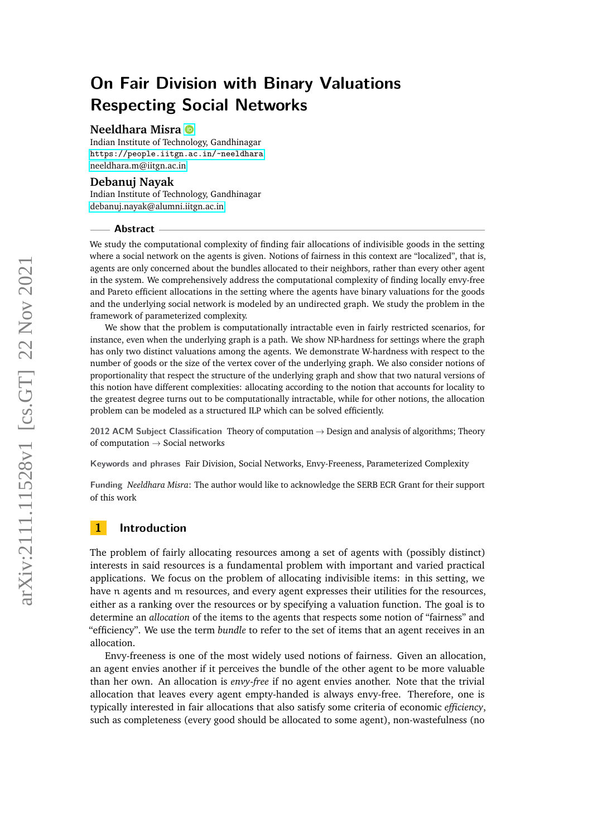# **Neeldhara Misra**

Indian Institute of Technology, Gandhinagar <https://people.iitgn.ac.in/~neeldhara> [neeldhara.m@iitgn.ac.in](mailto:neeldhara.m@iitgn.ac.in)

# **Debanuj Nayak**

Indian Institute of Technology, Gandhinagar [debanuj.nayak@alumni.iitgn.ac.in](mailto:debanuj.nayak@alumni.iitgn.ac.in)

# **Abstract**

We study the computational complexity of finding fair allocations of indivisible goods in the setting where a social network on the agents is given. Notions of fairness in this context are "localized", that is, agents are only concerned about the bundles allocated to their neighbors, rather than every other agent in the system. We comprehensively address the computational complexity of finding locally envy-free and Pareto efficient allocations in the setting where the agents have binary valuations for the goods and the underlying social network is modeled by an undirected graph. We study the problem in the framework of parameterized complexity.

We show that the problem is computationally intractable even in fairly restricted scenarios, for instance, even when the underlying graph is a path. We show NP-hardness for settings where the graph has only two distinct valuations among the agents. We demonstrate W-hardness with respect to the number of goods or the size of the vertex cover of the underlying graph. We also consider notions of proportionality that respect the structure of the underlying graph and show that two natural versions of this notion have different complexities: allocating according to the notion that accounts for locality to the greatest degree turns out to be computationally intractable, while for other notions, the allocation problem can be modeled as a structured ILP which can be solved efficiently.

**2012 ACM Subject Classification** Theory of computation → Design and analysis of algorithms; Theory of computation  $\rightarrow$  Social networks

**Keywords and phrases** Fair Division, Social Networks, Envy-Freeness, Parameterized Complexity

**Funding** *Neeldhara Misra*: The author would like to acknowledge the SERB ECR Grant for their support of this work

# **1 Introduction**

The problem of fairly allocating resources among a set of agents with (possibly distinct) interests in said resources is a fundamental problem with important and varied practical applications. We focus on the problem of allocating indivisible items: in this setting, we have n agents and m resources, and every agent expresses their utilities for the resources, either as a ranking over the resources or by specifying a valuation function. The goal is to determine an *allocation* of the items to the agents that respects some notion of "fairness" and "efficiency". We use the term *bundle* to refer to the set of items that an agent receives in an allocation.

Envy-freeness is one of the most widely used notions of fairness. Given an allocation, an agent envies another if it perceives the bundle of the other agent to be more valuable than her own. An allocation is *envy-free* if no agent envies another. Note that the trivial allocation that leaves every agent empty-handed is always envy-free. Therefore, one is typically interested in fair allocations that also satisfy some criteria of economic *efficiency*, such as completeness (every good should be allocated to some agent), non-wastefulness (no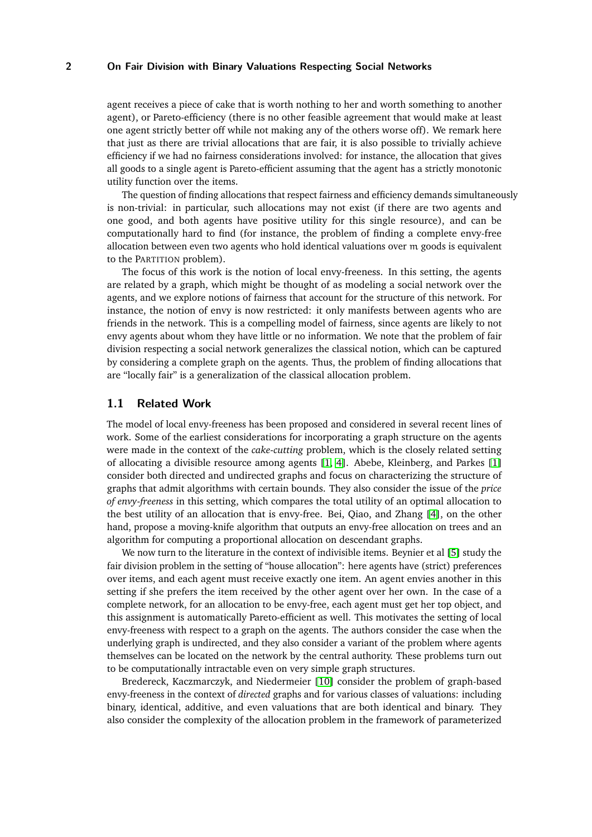agent receives a piece of cake that is worth nothing to her and worth something to another agent), or Pareto-efficiency (there is no other feasible agreement that would make at least one agent strictly better off while not making any of the others worse off). We remark here that just as there are trivial allocations that are fair, it is also possible to trivially achieve efficiency if we had no fairness considerations involved: for instance, the allocation that gives all goods to a single agent is Pareto-efficient assuming that the agent has a strictly monotonic utility function over the items.

The question of finding allocations that respect fairness and efficiency demands simultaneously is non-trivial: in particular, such allocations may not exist (if there are two agents and one good, and both agents have positive utility for this single resource), and can be computationally hard to find (for instance, the problem of finding a complete envy-free allocation between even two agents who hold identical valuations over m goods is equivalent to the PARTITION problem).

The focus of this work is the notion of local envy-freeness. In this setting, the agents are related by a graph, which might be thought of as modeling a social network over the agents, and we explore notions of fairness that account for the structure of this network. For instance, the notion of envy is now restricted: it only manifests between agents who are friends in the network. This is a compelling model of fairness, since agents are likely to not envy agents about whom they have little or no information. We note that the problem of fair division respecting a social network generalizes the classical notion, which can be captured by considering a complete graph on the agents. Thus, the problem of finding allocations that are "locally fair" is a generalization of the classical allocation problem.

# **1.1 Related Work**

The model of local envy-freeness has been proposed and considered in several recent lines of work. Some of the earliest considerations for incorporating a graph structure on the agents were made in the context of the *cake-cutting* problem, which is the closely related setting of allocating a divisible resource among agents [\[1,](#page-17-0) [4\]](#page-17-1). Abebe, Kleinberg, and Parkes [\[1\]](#page-17-0) consider both directed and undirected graphs and focus on characterizing the structure of graphs that admit algorithms with certain bounds. They also consider the issue of the *price of envy-freeness* in this setting, which compares the total utility of an optimal allocation to the best utility of an allocation that is envy-free. Bei, Qiao, and Zhang [\[4\]](#page-17-1), on the other hand, propose a moving-knife algorithm that outputs an envy-free allocation on trees and an algorithm for computing a proportional allocation on descendant graphs.

We now turn to the literature in the context of indivisible items. Beynier et al [\[5\]](#page-18-0) study the fair division problem in the setting of "house allocation": here agents have (strict) preferences over items, and each agent must receive exactly one item. An agent envies another in this setting if she prefers the item received by the other agent over her own. In the case of a complete network, for an allocation to be envy-free, each agent must get her top object, and this assignment is automatically Pareto-efficient as well. This motivates the setting of local envy-freeness with respect to a graph on the agents. The authors consider the case when the underlying graph is undirected, and they also consider a variant of the problem where agents themselves can be located on the network by the central authority. These problems turn out to be computationally intractable even on very simple graph structures.

Bredereck, Kaczmarczyk, and Niedermeier [\[10\]](#page-18-1) consider the problem of graph-based envy-freeness in the context of *directed* graphs and for various classes of valuations: including binary, identical, additive, and even valuations that are both identical and binary. They also consider the complexity of the allocation problem in the framework of parameterized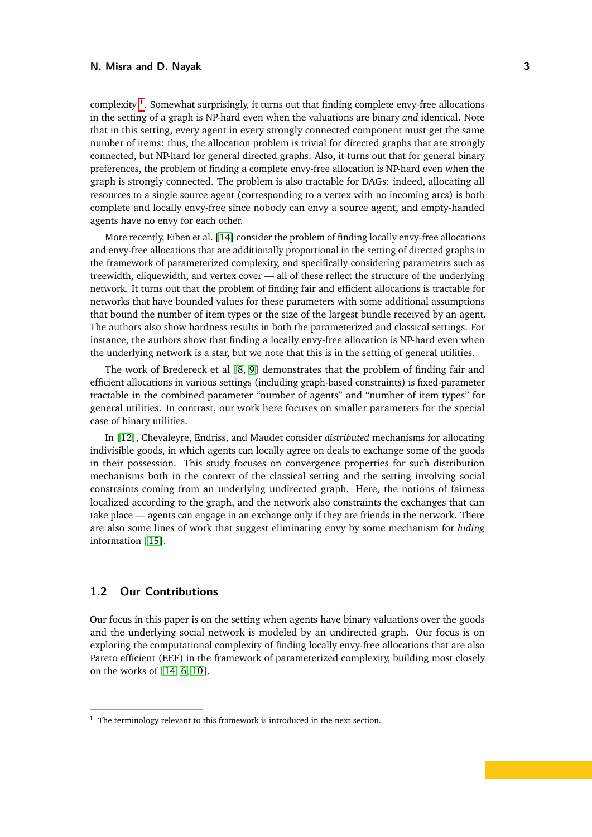complexity<sup>[1](#page-2-0)</sup>. Somewhat surprisingly, it turns out that finding complete envy-free allocations in the setting of a graph is NP-hard even when the valuations are binary *and* identical. Note that in this setting, every agent in every strongly connected component must get the same number of items: thus, the allocation problem is trivial for directed graphs that are strongly connected, but NP-hard for general directed graphs. Also, it turns out that for general binary preferences, the problem of finding a complete envy-free allocation is NP-hard even when the graph is strongly connected. The problem is also tractable for DAGs: indeed, allocating all resources to a single source agent (corresponding to a vertex with no incoming arcs) is both complete and locally envy-free since nobody can envy a source agent, and empty-handed agents have no envy for each other.

More recently, Eiben et al. [\[14\]](#page-18-2) consider the problem of finding locally envy-free allocations and envy-free allocations that are additionally proportional in the setting of directed graphs in the framework of parameterized complexity, and specifically considering parameters such as treewidth, cliquewidth, and vertex cover — all of these reflect the structure of the underlying network. It turns out that the problem of finding fair and efficient allocations is tractable for networks that have bounded values for these parameters with some additional assumptions that bound the number of item types or the size of the largest bundle received by an agent. The authors also show hardness results in both the parameterized and classical settings. For instance, the authors show that finding a locally envy-free allocation is NP-hard even when the underlying network is a star, but we note that this is in the setting of general utilities.

The work of Bredereck et al [\[8,](#page-18-3) [9\]](#page-18-4) demonstrates that the problem of finding fair and efficient allocations in various settings (including graph-based constraints) is fixed-parameter tractable in the combined parameter "number of agents" and "number of item types" for general utilities. In contrast, our work here focuses on smaller parameters for the special case of binary utilities.

In [\[12\]](#page-18-5), Chevaleyre, Endriss, and Maudet consider *distributed* mechanisms for allocating indivisible goods, in which agents can locally agree on deals to exchange some of the goods in their possession. This study focuses on convergence properties for such distribution mechanisms both in the context of the classical setting and the setting involving social constraints coming from an underlying undirected graph. Here, the notions of fairness localized according to the graph, and the network also constraints the exchanges that can take place — agents can engage in an exchange only if they are friends in the network. There are also some lines of work that suggest eliminating envy by some mechanism for *hiding* information [\[15\]](#page-18-6).

# **1.2 Our Contributions**

Our focus in this paper is on the setting when agents have binary valuations over the goods and the underlying social network is modeled by an undirected graph. Our focus is on exploring the computational complexity of finding locally envy-free allocations that are also Pareto efficient (EEF) in the framework of parameterized complexity, building most closely on the works of [\[14,](#page-18-2) [6,](#page-18-7) [10\]](#page-18-1).

<span id="page-2-0"></span> $1$  The terminology relevant to this framework is introduced in the next section.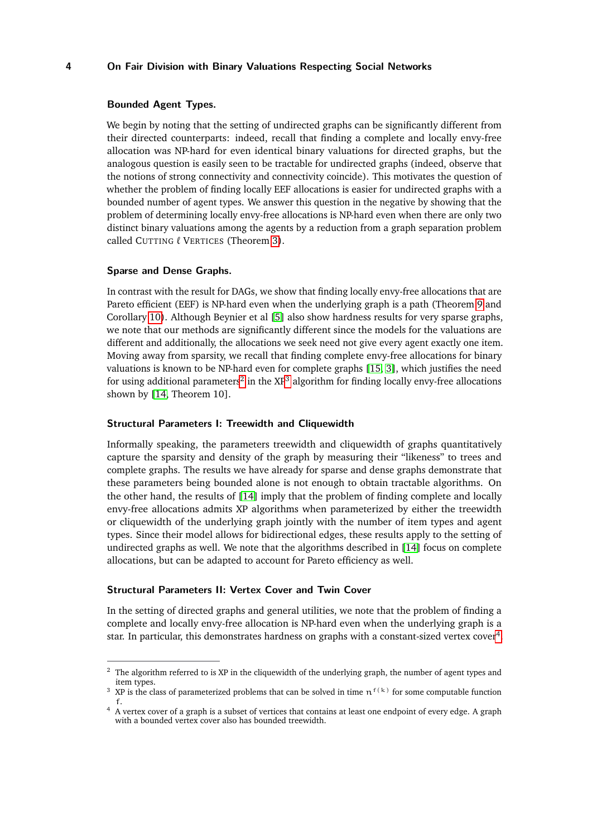## **Bounded Agent Types.**

We begin by noting that the setting of undirected graphs can be significantly different from their directed counterparts: indeed, recall that finding a complete and locally envy-free allocation was NP-hard for even identical binary valuations for directed graphs, but the analogous question is easily seen to be tractable for undirected graphs (indeed, observe that the notions of strong connectivity and connectivity coincide). This motivates the question of whether the problem of finding locally EEF allocations is easier for undirected graphs with a bounded number of agent types. We answer this question in the negative by showing that the problem of determining locally envy-free allocations is NP-hard even when there are only two distinct binary valuations among the agents by a reduction from a graph separation problem called CUTTING  $\ell$  VERTICES (Theorem [3\)](#page-7-0).

# **Sparse and Dense Graphs.**

In contrast with the result for DAGs, we show that finding locally envy-free allocations that are Pareto efficient (EEF) is NP-hard even when the underlying graph is a path (Theorem [9](#page-11-0) and Corollary [10\)](#page-13-0). Although Beynier et al [\[5\]](#page-18-0) also show hardness results for very sparse graphs, we note that our methods are significantly different since the models for the valuations are different and additionally, the allocations we seek need not give every agent exactly one item. Moving away from sparsity, we recall that finding complete envy-free allocations for binary valuations is known to be NP-hard even for complete graphs [\[15,](#page-18-6) [3\]](#page-17-2), which justifies the need for using additional parameters<sup>[2](#page-3-0)</sup> in the XP<sup>[3](#page-3-1)</sup> algorithm for finding locally envy-free allocations shown by [\[14,](#page-18-2) Theorem 10].

### **Structural Parameters I: Treewidth and Cliquewidth**

Informally speaking, the parameters treewidth and cliquewidth of graphs quantitatively capture the sparsity and density of the graph by measuring their "likeness" to trees and complete graphs. The results we have already for sparse and dense graphs demonstrate that these parameters being bounded alone is not enough to obtain tractable algorithms. On the other hand, the results of [\[14\]](#page-18-2) imply that the problem of finding complete and locally envy-free allocations admits XP algorithms when parameterized by either the treewidth or cliquewidth of the underlying graph jointly with the number of item types and agent types. Since their model allows for bidirectional edges, these results apply to the setting of undirected graphs as well. We note that the algorithms described in [\[14\]](#page-18-2) focus on complete allocations, but can be adapted to account for Pareto efficiency as well.

# **Structural Parameters II: Vertex Cover and Twin Cover**

In the setting of directed graphs and general utilities, we note that the problem of finding a complete and locally envy-free allocation is NP-hard even when the underlying graph is a star. In particular, this demonstrates hardness on graphs with a constant-sized vertex cover<sup>[4](#page-3-2)</sup>.

<span id="page-3-0"></span> $2$  The algorithm referred to is XP in the cliquewidth of the underlying graph, the number of agent types and item types.

<span id="page-3-1"></span><sup>&</sup>lt;sup>3</sup> XP is the class of parameterized problems that can be solved in time  $n^{f(k)}$  for some computable function f.

<span id="page-3-2"></span><sup>&</sup>lt;sup>4</sup> A vertex cover of a graph is a subset of vertices that contains at least one endpoint of every edge. A graph with a bounded vertex cover also has bounded treewidth.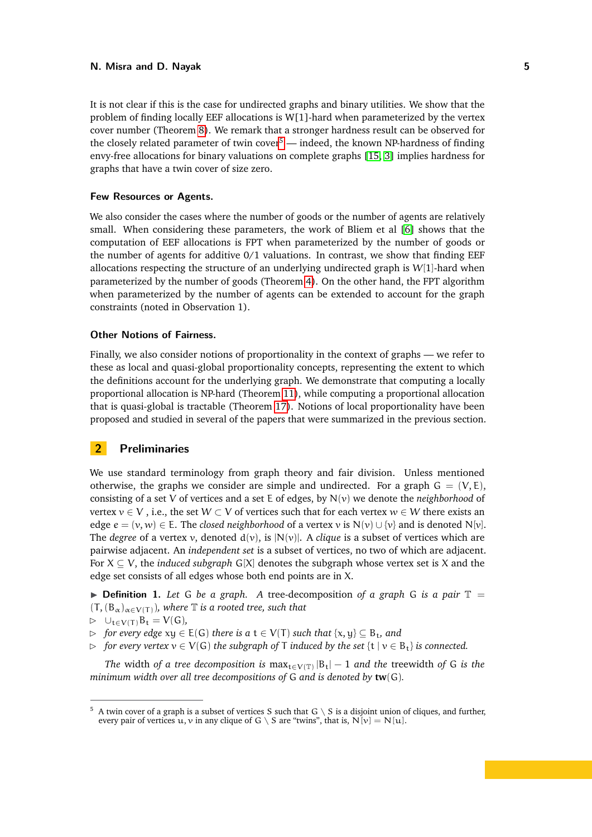It is not clear if this is the case for undirected graphs and binary utilities. We show that the problem of finding locally EEF allocations is W[1]-hard when parameterized by the vertex cover number (Theorem [8\)](#page-10-0). We remark that a stronger hardness result can be observed for the closely related parameter of twin cover<sup>[5](#page-4-0)</sup> — indeed, the known NP-hardness of finding envy-free allocations for binary valuations on complete graphs [\[15,](#page-18-6) [3\]](#page-17-2) implies hardness for graphs that have a twin cover of size zero.

### **Few Resources or Agents.**

We also consider the cases where the number of goods or the number of agents are relatively small. When considering these parameters, the work of Bliem et al [\[6\]](#page-18-7) shows that the computation of EEF allocations is FPT when parameterized by the number of goods or the number of agents for additive  $0/1$  valuations. In contrast, we show that finding EEF allocations respecting the structure of an underlying undirected graph is  $W[1]$ -hard when parameterized by the number of goods (Theorem [4\)](#page-8-0). On the other hand, the FPT algorithm when parameterized by the number of agents can be extended to account for the graph constraints (noted in Observation 1).

# **Other Notions of Fairness.**

Finally, we also consider notions of proportionality in the context of graphs — we refer to these as local and quasi-global proportionality concepts, representing the extent to which the definitions account for the underlying graph. We demonstrate that computing a locally proportional allocation is NP-hard (Theorem [11\)](#page-14-0), while computing a proportional allocation that is quasi-global is tractable (Theorem [17\)](#page-16-0). Notions of local proportionality have been proposed and studied in several of the papers that were summarized in the previous section.

# **2 Preliminaries**

We use standard terminology from graph theory and fair division. Unless mentioned otherwise, the graphs we consider are simple and undirected. For a graph  $G = (V, E)$ , consisting of a set V of vertices and a set E of edges, by N(v) we denote the *neighborhood* of vertex  $v \in V$ , i.e., the set  $W \subset V$  of vertices such that for each vertex  $w \in W$  there exists an edge  $e = (v, w) \in E$ . The *closed neighborhood* of a vertex v is N(v)  $\cup \{v\}$  and is denoted N[v]. The *degree* of a vertex v, denoted  $d(v)$ , is  $|N(v)|$ . A *clique* is a subset of vertices which are pairwise adjacent. An *independent set* is a subset of vertices, no two of which are adjacent. For X ⊆ V, the *induced subgraph* G[X] denotes the subgraph whose vertex set is X and the edge set consists of all edges whose both end points are in X.

 $\triangleright$  **Definition 1.** Let G be a graph. A tree-decomposition of a graph G is a pair  $\mathbb{T}$  =  $(T, (B_{\alpha})_{\alpha \in V(T)})$ *, where*  $T$  *is a rooted tree, such that* 

 $\triangleright \cup_{t \in V(T)} B_t = V(G)$ ,

 $\triangleright$  *for every edge*  $xy \in E(G)$  *there is a*  $t \in V(T)$  *such that*  $\{x, y\} \subseteq B_t$ *, and* 

 $\triangleright$  *for every vertex*  $v \in V(G)$  *the subgraph of* T *induced by the set* {*t* |  $v \in B_t$ } *is connected.* 

*The* width of a tree decomposition is  $\max_{t \in V(T)} |B_t| - 1$  and the treewidth of G is the *minimum width over all tree decompositions of* G *and is denoted by* **tw**(G)*.*

<span id="page-4-0"></span><sup>&</sup>lt;sup>5</sup> A twin cover of a graph is a subset of vertices S such that G  $\setminus$  S is a disjoint union of cliques, and further, every pair of vertices  $u, v$  in any clique of  $G \setminus S$  are "twins", that is,  $N[v] = N[u]$ .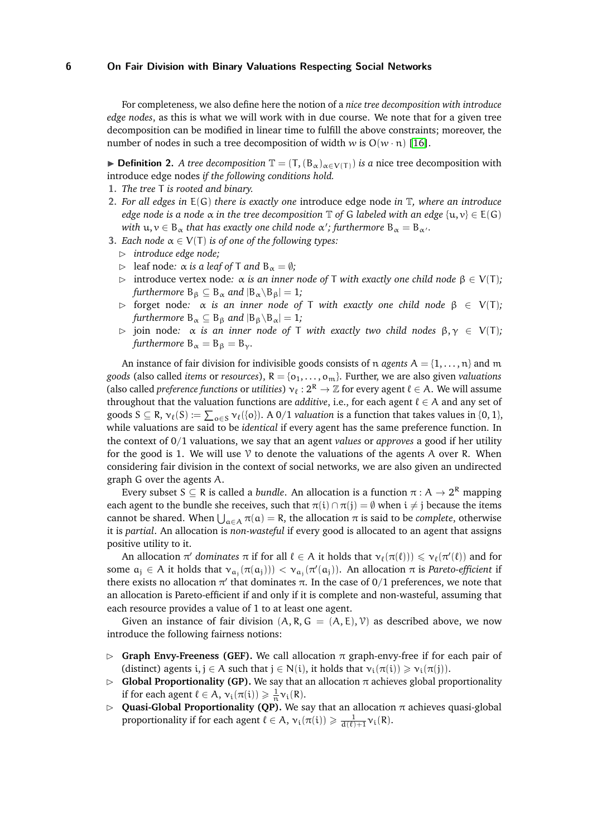For completeness, we also define here the notion of a *nice tree decomposition with introduce edge nodes*, as this is what we will work with in due course. We note that for a given tree decomposition can be modified in linear time to fulfill the above constraints; moreover, the number of nodes in such a tree decomposition of width w is  $O(w \cdot n)$  [\[16\]](#page-18-8).

**► Definition 2.** *A tree decomposition*  $\mathbb{T} = (T, (B_{\alpha})_{\alpha \in V(T)})$  *is a* nice tree decomposition with introduce edge nodes *if the following conditions hold.*

- **1.** *The tree* T *is rooted and binary.*
- **2.** *For all edges in* E(G) *there is exactly one* introduce edge node *in* T*, where an introduce edge node is a node*  $\alpha$  *in the tree decomposition*  $\mathbb{T}$  *of* G *labeled with an edge*  $\{u, v\} \in E(G)$ with  $u, v \in B_{\alpha}$  that has exactly one child node  $\alpha'$ ; furthermore  $B_{\alpha} = B_{\alpha'}$ .
- **3.** *Each node*  $\alpha \in V(T)$  *is of one of the following types:* 
	- B *introduce edge node;*
	- $\triangleright$  leaf node:  $\alpha$  *is a leaf of* T *and*  $B_{\alpha} = \emptyset$ ;
	- $\triangleright$  introduce vertex node:  $\alpha$  *is an inner node of* T *with exactly one child node*  $\beta \in V(T)$ *; furthermore*  $B_\beta \subseteq B_\alpha$  *and*  $|B_\alpha \setminus B_\beta| = 1$ *;*
	- B forget node*:* α *is an inner node of* T *with exactly one child node* β ∈ V(T)*; furthermore*  $B_{\alpha} \subseteq B_{\beta}$  *and*  $|B_{\beta} \setminus B_{\alpha}| = 1$ *;*
	- $\triangleright$  join node:  $\alpha$  *is an inner node of* T *with exactly two child nodes*  $\beta, \gamma \in V(T)$ ; *furthermore*  $B_{\alpha} = B_{\beta} = B_{\gamma}$ *.*

An instance of fair division for indivisible goods consists of n *agents*  $A = \{1, \ldots, n\}$  and m *goods* (also called *items* or *resources*),  $R = \{o_1, \ldots, o_m\}$ . Further, we are also given *valuations* (also called *preference functions* or *utilities*)  $v_{\ell} : 2^R \to \mathbb{Z}$  for every agent  $\ell \in A$ . We will assume throughout that the valuation functions are *additive*, i.e., for each agent  $\ell \in A$  and any set of goods  $S \subseteq R$ ,  $v_{\ell}(S) := \sum_{o \in S} v_{\ell}(\{o\})$ . A 0/1 *valuation* is a function that takes values in {0, 1}, while valuations are said to be *identical* if every agent has the same preference function. In the context of 0/1 valuations, we say that an agent *values* or *approves* a good if her utility for the good is 1. We will use  $\gamma$  to denote the valuations of the agents A over R. When considering fair division in the context of social networks, we are also given an undirected graph G over the agents A.

Every subset  $S \subseteq R$  is called a *bundle*. An allocation is a function  $\pi : A \to 2^R$  mapping each agent to the bundle she receives, such that  $\pi(i) \cap \pi(j) = \emptyset$  when  $i \neq j$  because the items cannot be shared. When  $\bigcup_{\alpha\in A}\pi(\alpha) =$  R, the allocation  $\pi$  is said to be *complete*, otherwise it is *partial*. An allocation is *non-wasteful* if every good is allocated to an agent that assigns positive utility to it.

An allocation  $\pi'$  *dominates*  $\pi$  if for all  $\ell \in A$  it holds that  $v_{\ell}(\pi(\ell)) \le v_{\ell}(\pi'(\ell))$  and for some  $a_j \in A$  it holds that  $v_{a_j}(\pi(a_j))) < v_{a_j}(\pi'(a_j))$ . An allocation  $\pi$  is *Pareto-efficient* if there exists no allocation  $\pi'$  that dominates π. In the case of 0/1 preferences, we note that an allocation is Pareto-efficient if and only if it is complete and non-wasteful, assuming that each resource provides a value of 1 to at least one agent.

Given an instance of fair division  $(A, R, G = (A, E), V)$  as described above, we now introduce the following fairness notions:

- $\triangleright$  **Graph Envy-Freeness (GEF).** We call allocation π graph-envy-free if for each pair of (distinct) agents i, j  $\in$  A such that j  $\in$  N(i), it holds that  $v_i(\pi(i)) \ge v_i(\pi(j))$ .
- $\triangleright$  **Global Proportionality (GP).** We say that an allocation  $\pi$  achieves global proportionality if for each agent  $\ell \in A$ ,  $v_i(\pi(i)) \geq \frac{1}{n}v_i(R)$ .
- $\triangleright$  **Quasi-Global Proportionality (QP).** We say that an allocation  $\pi$  achieves quasi-global proportionality if for each agent  $\ell \in A$ ,  $v_i(\pi(i)) \geq \frac{1}{d(\ell)+1} v_i(R)$ .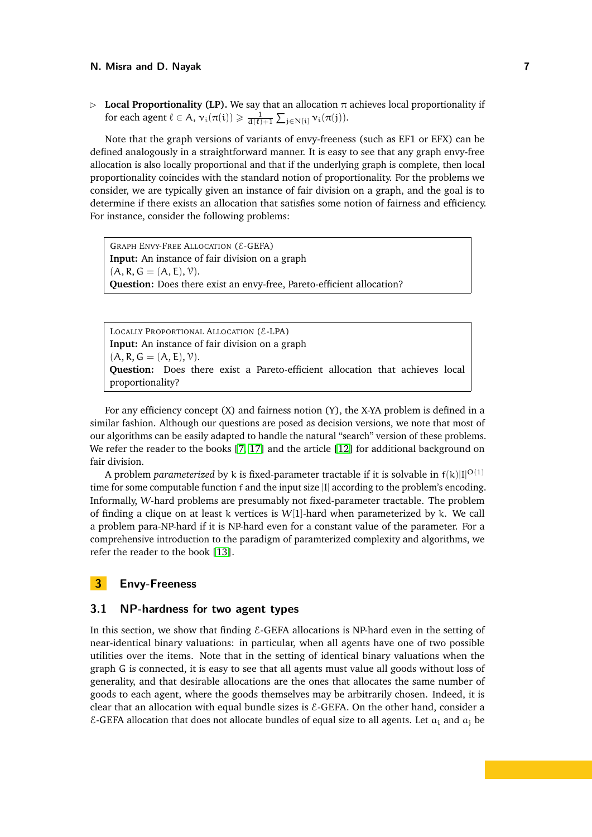$\triangleright$  **Local Proportionality (LP).** We say that an allocation  $\pi$  achieves local proportionality if for each agent  $\ell \in A$ ,  $v_i(\pi(i)) \geqslant \frac{1}{d(\ell)+1} \sum_{j \in N[i]} v_i(\pi(j)).$ 

Note that the graph versions of variants of envy-freeness (such as EF1 or EFX) can be defined analogously in a straightforward manner. It is easy to see that any graph envy-free allocation is also locally proportional and that if the underlying graph is complete, then local proportionality coincides with the standard notion of proportionality. For the problems we consider, we are typically given an instance of fair division on a graph, and the goal is to determine if there exists an allocation that satisfies some notion of fairness and efficiency. For instance, consider the following problems:

GRAPH ENVY-FREE ALLOCATION (E-GEFA) **Input:** An instance of fair division on a graph  $(A, R, G = (A, E), \mathcal{V}).$ **Question:** Does there exist an envy-free, Pareto-efficient allocation?

LOCALLY PROPORTIONAL ALLOCATION (E-LPA) **Input:** An instance of fair division on a graph  $(A, R, G = (A, E), \mathcal{V}).$ **Question:** Does there exist a Pareto-efficient allocation that achieves local proportionality?

For any efficiency concept (X) and fairness notion (Y), the X-YA problem is defined in a similar fashion. Although our questions are posed as decision versions, we note that most of our algorithms can be easily adapted to handle the natural "search" version of these problems. We refer the reader to the books [\[7,](#page-18-9) [17\]](#page-18-10) and the article [\[12\]](#page-18-5) for additional background on fair division.

A problem *parameterized* by k is fixed-parameter tractable if it is solvable in  $f(k) |I|^{O(1)}$ time for some computable function f and the input size |I| according to the problem's encoding. Informally, W-hard problems are presumably not fixed-parameter tractable. The problem of finding a clique on at least k vertices is  $W[1]$ -hard when parameterized by k. We call a problem para-NP-hard if it is NP-hard even for a constant value of the parameter. For a comprehensive introduction to the paradigm of paramterized complexity and algorithms, we refer the reader to the book [\[13\]](#page-18-11).

# **3 Envy-Freeness**

# **3.1 NP-hardness for two agent types**

In this section, we show that finding E-GEFA allocations is NP-hard even in the setting of near-identical binary valuations: in particular, when all agents have one of two possible utilities over the items. Note that in the setting of identical binary valuations when the graph G is connected, it is easy to see that all agents must value all goods without loss of generality, and that desirable allocations are the ones that allocates the same number of goods to each agent, where the goods themselves may be arbitrarily chosen. Indeed, it is clear that an allocation with equal bundle sizes is  $\mathcal{E}\text{-GEFA}$ . On the other hand, consider a  $\epsilon$ -GEFA allocation that does not allocate bundles of equal size to all agents. Let  $a_i$  and  $a_j$  be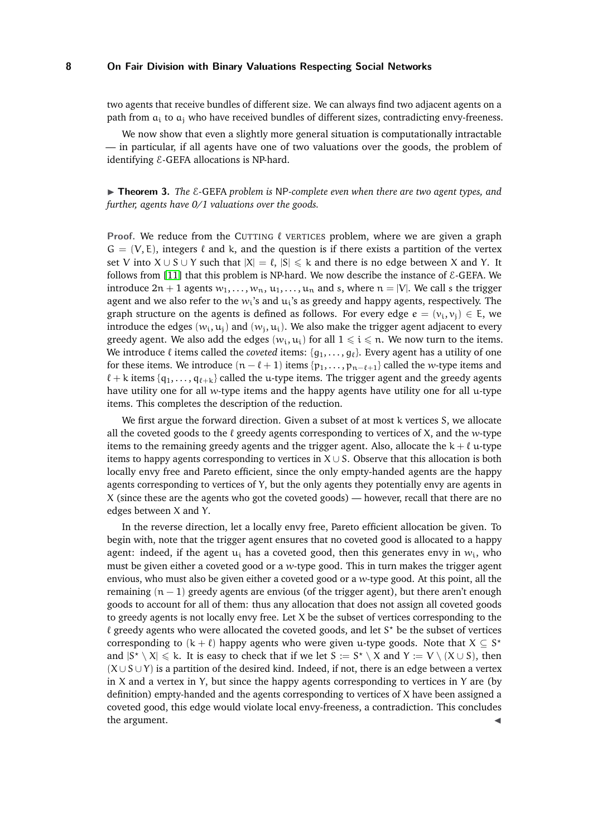two agents that receive bundles of different size. We can always find two adjacent agents on a path from  $a_i$  to  $a_j$  who have received bundles of different sizes, contradicting envy-freeness.

We now show that even a slightly more general situation is computationally intractable — in particular, if all agents have one of two valuations over the goods, the problem of identifying *ε*-GEFA allocations is NP-hard.

<span id="page-7-0"></span>► **Theorem 3.** *The E*-GEFA *problem is* NP-*complete even when there are two agent types, and further, agents have 0/1 valuations over the goods.*

**Proof.** We reduce from the CUTTING  $\ell$  VERTICES problem, where we are given a graph  $G = (V, E)$ , integers  $\ell$  and k, and the question is if there exists a partition of the vertex set V into  $X \cup S \cup Y$  such that  $|X| = \ell$ ,  $|S| \le k$  and there is no edge between X and Y. It follows from [\[11\]](#page-18-12) that this problem is NP-hard. We now describe the instance of  $\mathcal{E}\text{-GEFA}$ . We introduce  $2n + 1$  agents  $w_1, \ldots, w_n, u_1, \ldots, u_n$  and s, where  $n = |V|$ . We call s the trigger agent and we also refer to the  $w_i$ 's and  $u_i$ 's as greedy and happy agents, respectively. The graph structure on the agents is defined as follows. For every edge  $e = (v_i, v_i) \in E$ , we introduce the edges  $(w_i, u_i)$  and  $(w_i, u_i)$ . We also make the trigger agent adjacent to every greedy agent. We also add the edges  $(w_i, u_i)$  for all  $1 \leq i \leq n$ . We now turn to the items. We introduce  $\ell$  items called the *coveted* items: { $g_1, \ldots, g_\ell$ }. Every agent has a utility of one for these items. We introduce  $(n - \ell + 1)$  items {p<sub>1</sub>, ..., p<sub>n− $\ell+1$ </sub>} called the w-type items and  $\ell + k$  items {q<sub>1</sub>,..., q<sub> $\ell + k$ </sub>} called the u-type items. The trigger agent and the greedy agents have utility one for all w-type items and the happy agents have utility one for all u-type items. This completes the description of the reduction.

We first argue the forward direction. Given a subset of at most k vertices S, we allocate all the coveted goods to the  $\ell$  greedy agents corresponding to vertices of X, and the w-type items to the remaining greedy agents and the trigger agent. Also, allocate the  $k + \ell$  u-type items to happy agents corresponding to vertices in  $X \cup S$ . Observe that this allocation is both locally envy free and Pareto efficient, since the only empty-handed agents are the happy agents corresponding to vertices of Y, but the only agents they potentially envy are agents in  $X$  (since these are the agents who got the coveted goods) — however, recall that there are no edges between X and Y.

In the reverse direction, let a locally envy free, Pareto efficient allocation be given. To begin with, note that the trigger agent ensures that no coveted good is allocated to a happy agent: indeed, if the agent  $u_i$  has a coveted good, then this generates envy in  $w_i$ , who must be given either a coveted good or a  $w$ -type good. This in turn makes the trigger agent envious, who must also be given either a coveted good or a w-type good. At this point, all the remaining  $(n - 1)$  greedy agents are envious (of the trigger agent), but there aren't enough goods to account for all of them: thus any allocation that does not assign all coveted goods to greedy agents is not locally envy free. Let X be the subset of vertices corresponding to the  $\ell$  greedy agents who were allocated the coveted goods, and let  $S^{\star}$  be the subset of vertices corresponding to  $(k + \ell)$  happy agents who were given u-type goods. Note that  $X \subseteq S^*$ and  $|S^* \setminus X| \le k$ . It is easy to check that if we let  $S := S^* \setminus X$  and  $Y := V \setminus (X \cup S)$ , then  $(X \cup S \cup Y)$  is a partition of the desired kind. Indeed, if not, there is an edge between a vertex in X and a vertex in Y, but since the happy agents corresponding to vertices in Y are (by definition) empty-handed and the agents corresponding to vertices of X have been assigned a coveted good, this edge would violate local envy-freeness, a contradiction. This concludes the argument.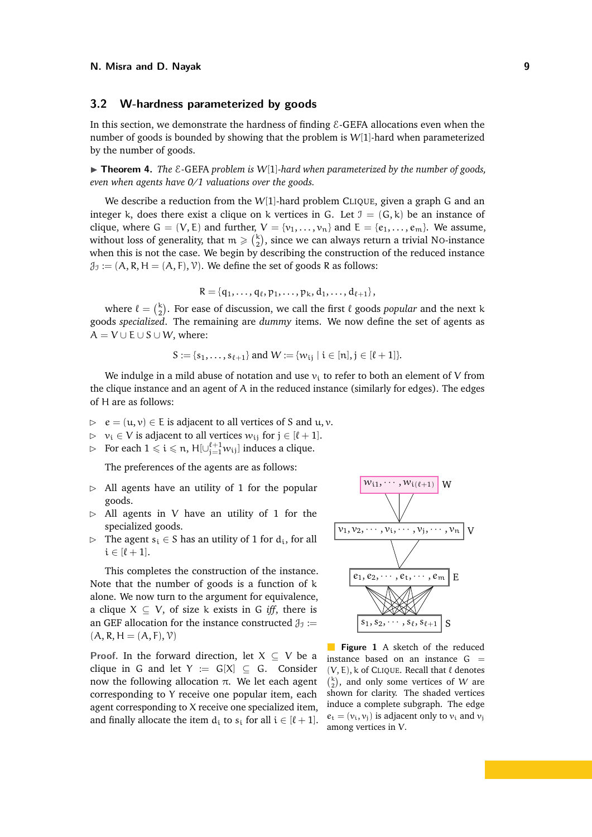# **3.2 W-hardness parameterized by goods**

In this section, we demonstrate the hardness of finding  $\epsilon$ -GEFA allocations even when the number of goods is bounded by showing that the problem is  $W[1]$ -hard when parameterized by the number of goods.

<span id="page-8-0"></span>► **Theorem 4.** *The E*-GEFA *problem is W*[1]-hard when parameterized by the number of goods, *even when agents have 0/1 valuations over the goods.*

We describe a reduction from the  $W[1]$ -hard problem CLIQUE, given a graph G and an integer k, does there exist a clique on k vertices in G. Let  $\mathcal{I} = (G, k)$  be an instance of clique, where  $G = (V, E)$  and further,  $V = \{v_1, \ldots, v_n\}$  and  $E = \{e_1, \ldots, e_m\}$ . We assume, without loss of generality, that  $m \geqslant \binom{k}{2}$ , since we can always return a trivial N0-instance when this is not the case. We begin by describing the construction of the reduced instance  $\mathcal{J}_\mathcal{I} := (A, R, H = (A, F), \mathcal{V})$ . We define the set of goods R as follows:

$$
R = \{q_1, \ldots, q_\ell, p_1, \ldots, p_k, d_1, \ldots, d_{\ell+1}\},
$$

where  $\ell = \binom{k}{2}$ . For ease of discussion, we call the first  $\ell$  goods *popular* and the next k goods *specialized*. The remaining are *dummy* items. We now define the set of agents as  $A = V \cup E \cup S \cup W$ , where:

$$
S := \{s_1, \ldots, s_{\ell+1}\} \text{ and } W := \{w_{ij} \mid i \in [n], j \in [\ell+1]\}.
$$

We indulge in a mild abuse of notation and use  $v_i$  to refer to both an element of V from the clique instance and an agent of A in the reduced instance (similarly for edges). The edges of H are as follows:

- $\triangleright$   $e = (u, v) \in E$  is adjacent to all vertices of S and u, v.
- $\triangleright \quad v_i \in V$  is adjacent to all vertices  $w_{ij}$  for  $j \in [\ell + 1]$ .
- $\triangleright$  For each 1 ≤ i ≤ n, H[∪ $_{j=1}^{\ell+1}$ w<sub>ij</sub>] induces a clique.

The preferences of the agents are as follows:

- $\triangleright$  All agents have an utility of 1 for the popular goods.
- $\triangleright$  All agents in V have an utility of 1 for the specialized goods.
- $\triangleright$  The agent s<sub>i</sub>  $\in$  S has an utility of 1 for d<sub>i</sub>, for all  $i \in [\ell + 1].$

This completes the construction of the instance. Note that the number of goods is a function of k alone. We now turn to the argument for equivalence, a clique  $X \subseteq V$ , of size k exists in G *iff*, there is an GEF allocation for the instance constructed  $\partial \mathfrak{I} :=$  $(A, R, H = (A, F), V)$ 

**Proof.** In the forward direction, let  $X \subseteq V$  be a clique in G and let  $Y := G[X] \subseteq G$ . Consider now the following allocation  $π$ . We let each agent corresponding to Y receive one popular item, each agent corresponding to X receive one specialized item, and finally allocate the item  $d_i$  to  $s_i$  for all  $i \in [\ell + 1]$ .



**Figure 1** A sketch of the reduced instance based on an instance  $G =$  $(V, E)$ , k of CLIQUE. Recall that  $\ell$  denotes  $\binom{k}{2}$ , and only some vertices of W are shown for clarity. The shaded vertices induce a complete subgraph. The edge  $e_t = (v_i, v_i)$  is adjacent only to  $v_i$  and  $v_i$ among vertices in V.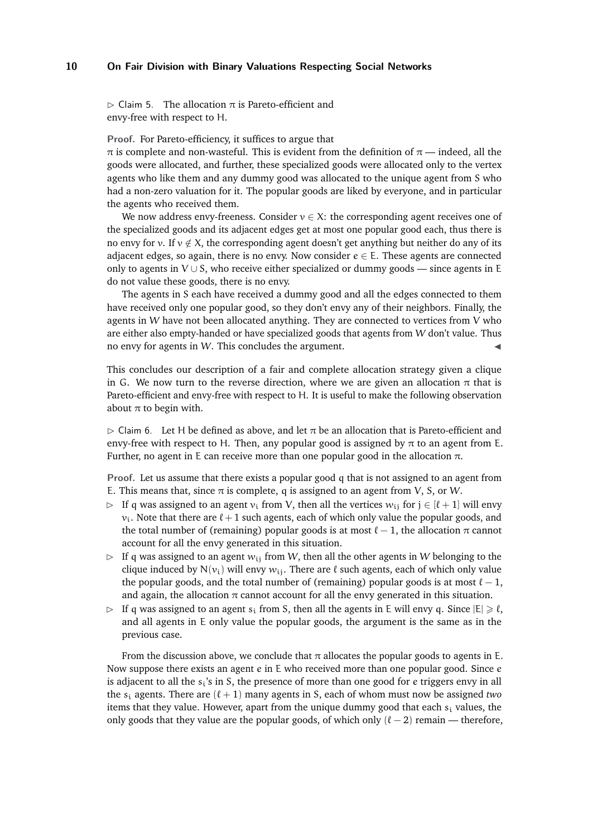$\triangleright$  Claim 5. The allocation  $\pi$  is Pareto-efficient and envy-free with respect to H.

**Proof.** For Pareto-efficiency, it suffices to argue that

 $\pi$  is complete and non-wasteful. This is evident from the definition of  $\pi$  — indeed, all the goods were allocated, and further, these specialized goods were allocated only to the vertex agents who like them and any dummy good was allocated to the unique agent from S who had a non-zero valuation for it. The popular goods are liked by everyone, and in particular the agents who received them.

We now address envy-freeness. Consider  $v \in X$ : the corresponding agent receives one of the specialized goods and its adjacent edges get at most one popular good each, thus there is no envy for v. If  $v \notin X$ , the corresponding agent doesn't get anything but neither do any of its adjacent edges, so again, there is no envy. Now consider  $e \in E$ . These agents are connected only to agents in  $V \cup S$ , who receive either specialized or dummy goods — since agents in E do not value these goods, there is no envy.

The agents in S each have received a dummy good and all the edges connected to them have received only one popular good, so they don't envy any of their neighbors. Finally, the agents in W have not been allocated anything. They are connected to vertices from V who are either also empty-handed or have specialized goods that agents from W don't value. Thus no envy for agents in  $W$ . This concludes the argument.

This concludes our description of a fair and complete allocation strategy given a clique in G. We now turn to the reverse direction, where we are given an allocation  $\pi$  that is Pareto-efficient and envy-free with respect to H. It is useful to make the following observation about  $\pi$  to begin with.

 $\triangleright$  Claim 6. Let H be defined as above, and let  $\pi$  be an allocation that is Pareto-efficient and envy-free with respect to H. Then, any popular good is assigned by  $\pi$  to an agent from E. Further, no agent in E can receive more than one popular good in the allocation  $\pi$ .

**Proof.** Let us assume that there exists a popular good q that is not assigned to an agent from E. This means that, since  $\pi$  is complete, q is assigned to an agent from V, S, or W.

- $\triangleright$  If q was assigned to an agent  $v_i$  from V, then all the vertices  $w_{i,j}$  for  $j \in [\ell + 1]$  will envy  $v_i$ . Note that there are  $\ell + 1$  such agents, each of which only value the popular goods, and the total number of (remaining) popular goods is at most  $\ell - 1$ , the allocation  $\pi$  cannot account for all the envy generated in this situation.
- $\triangleright$  If q was assigned to an agent  $w_{ij}$  from W, then all the other agents in W belonging to the clique induced by  $N(v_i)$  will envy  $w_{ij}$ . There are  $\ell$  such agents, each of which only value the popular goods, and the total number of (remaining) popular goods is at most  $\ell - 1$ , and again, the allocation  $\pi$  cannot account for all the envy generated in this situation.
- $\triangleright$  If q was assigned to an agent s<sub>i</sub> from S, then all the agents in E will envy q. Since  $|E| \ge \ell$ , and all agents in E only value the popular goods, the argument is the same as in the previous case.

From the discussion above, we conclude that  $\pi$  allocates the popular goods to agents in E. Now suppose there exists an agent  $e$  in E who received more than one popular good. Since  $e$ is adjacent to all the  $s_i$ 's in S, the presence of more than one good for e triggers envy in all the  $s_i$  agents. There are  $(\ell + 1)$  many agents in S, each of whom must now be assigned *two* items that they value. However, apart from the unique dummy good that each  $s_i$  values, the only goods that they value are the popular goods, of which only  $(\ell - 2)$  remain — therefore,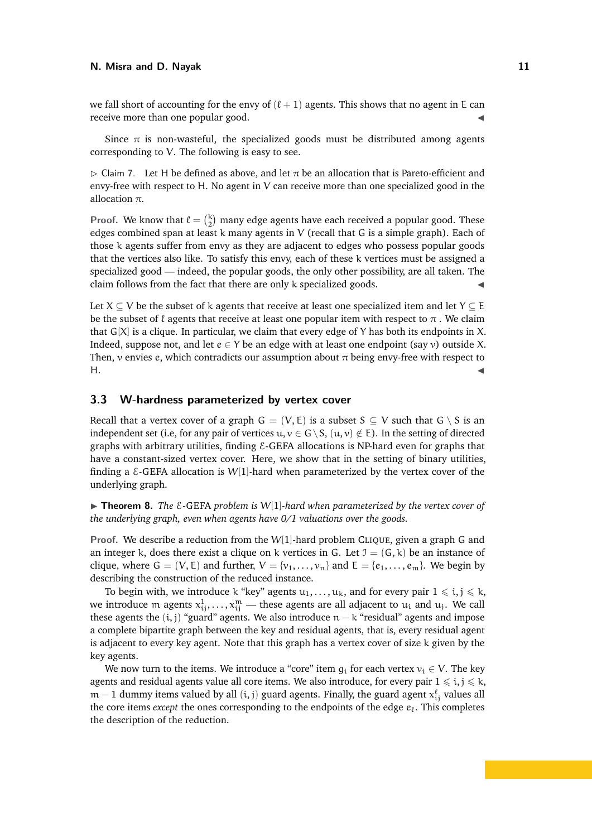we fall short of accounting for the envy of  $(\ell + 1)$  agents. This shows that no agent in E can receive more than one popular good.

Since  $\pi$  is non-wasteful, the specialized goods must be distributed among agents corresponding to V. The following is easy to see.

 $\triangleright$  Claim 7. Let H be defined as above, and let  $\pi$  be an allocation that is Pareto-efficient and envy-free with respect to H. No agent in V can receive more than one specialized good in the allocation  $\pi$ .

**Proof.** We know that  $\ell = \binom{k}{2}$  many edge agents have each received a popular good. These edges combined span at least k many agents in V (recall that G is a simple graph). Each of those k agents suffer from envy as they are adjacent to edges who possess popular goods that the vertices also like. To satisfy this envy, each of these k vertices must be assigned a specialized good — indeed, the popular goods, the only other possibility, are all taken. The claim follows from the fact that there are only k specialized goods.

Let  $X \subseteq V$  be the subset of k agents that receive at least one specialized item and let  $Y \subseteq E$ be the subset of  $\ell$  agents that receive at least one popular item with respect to  $\pi$ . We claim that G[X] is a clique. In particular, we claim that every edge of Y has both its endpoints in X. Indeed, suppose not, and let  $e \in Y$  be an edge with at least one endpoint (say v) outside X. Then, v envies e, which contradicts our assumption about  $\pi$  being envy-free with respect to H.  $\blacksquare$ 

# **3.3 W-hardness parameterized by vertex cover**

Recall that a vertex cover of a graph  $G = (V, E)$  is a subset  $S \subseteq V$  such that  $G \setminus S$  is an independent set (i.e, for any pair of vertices u,  $v \in G \setminus S$ ,  $(u, v) \notin E$ ). In the setting of directed graphs with arbitrary utilities, finding  $\&E$ -GEFA allocations is NP-hard even for graphs that have a constant-sized vertex cover. Here, we show that in the setting of binary utilities, finding a  $\epsilon$ -GEFA allocation is W[1]-hard when parameterized by the vertex cover of the underlying graph.

<span id="page-10-0"></span>► **Theorem 8.** *The E*-GEFA *problem is*  $W[1]$ *-hard when parameterized by the vertex cover of the underlying graph, even when agents have 0/1 valuations over the goods.*

**Proof.** We describe a reduction from the W[1]-hard problem CLIQUE, given a graph G and an integer k, does there exist a clique on k vertices in G. Let  $\mathcal{I} = (G, k)$  be an instance of clique, where  $G = (V, E)$  and further,  $V = \{v_1, \ldots, v_n\}$  and  $E = \{e_1, \ldots, e_m\}$ . We begin by describing the construction of the reduced instance.

To begin with, we introduce k "key" agents  $u_1, \ldots, u_k$ , and for every pair  $1 \leq i, j \leq k$ , we introduce  $m$  agents  $x_{ij}^1, \ldots, x_{ij}^m$  — these agents are all adjacent to  $u_i$  and  $u_j$ . We call these agents the  $(i, j)$  "guard" agents. We also introduce  $n - k$  "residual" agents and impose a complete bipartite graph between the key and residual agents, that is, every residual agent is adjacent to every key agent. Note that this graph has a vertex cover of size k given by the key agents.

We now turn to the items. We introduce a "core" item  $q_i$  for each vertex  $v_i \in V$ . The key agents and residual agents value all core items. We also introduce, for every pair  $1 \leq i, j \leq k$ , m  $-$  1 dummy items valued by all  $(i, j)$  guard agents. Finally, the guard agent  $x_{ij}^{\ell}$  values all the core items *except* the ones corresponding to the endpoints of the edge  $e_\ell$ . This completes the description of the reduction.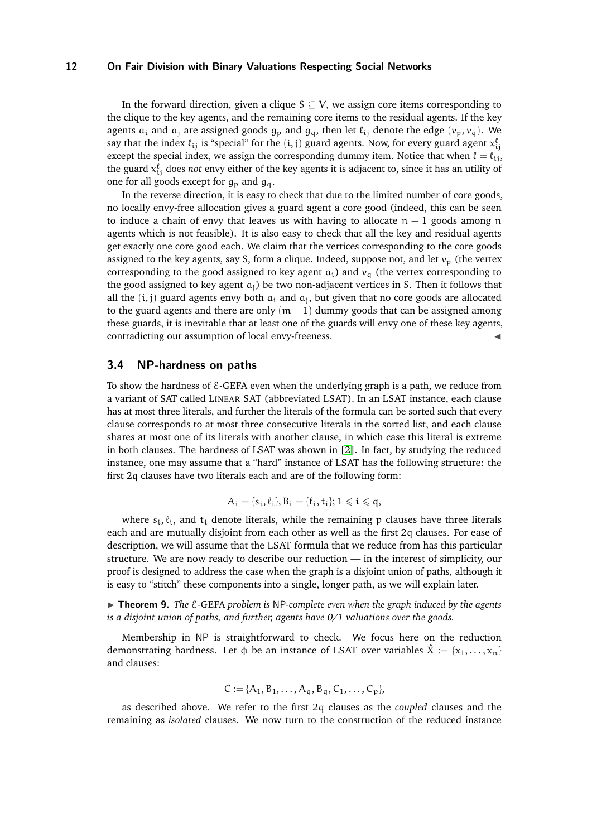In the forward direction, given a clique  $S \subseteq V$ , we assign core items corresponding to the clique to the key agents, and the remaining core items to the residual agents. If the key agents  $a_i$  and  $a_j$  are assigned goods  $g_p$  and  $g_q$ , then let  $\ell_{ij}$  denote the edge  $(v_p, v_q)$ . We say that the index  $\ell_{ij}$  is "special" for the  $(i, j)$  guard agents. Now, for every guard agent  $x_{ij}^{\ell}$ except the special index, we assign the corresponding dummy item. Notice that when  $\ell = \ell_{ij}$ , the guard  $x_{ij}^{\ell}$  does *not* envy either of the key agents it is adjacent to, since it has an utility of one for all goods except for  $g_p$  and  $g_q$ .

In the reverse direction, it is easy to check that due to the limited number of core goods, no locally envy-free allocation gives a guard agent a core good (indeed, this can be seen to induce a chain of envy that leaves us with having to allocate  $n - 1$  goods among n agents which is not feasible). It is also easy to check that all the key and residual agents get exactly one core good each. We claim that the vertices corresponding to the core goods assigned to the key agents, say S, form a clique. Indeed, suppose not, and let  $v_p$  (the vertex corresponding to the good assigned to key agent  $a_i$ ) and  $v_q$  (the vertex corresponding to the good assigned to key agent  $a_j$ ) be two non-adjacent vertices in S. Then it follows that all the  $(i, j)$  guard agents envy both  $a_i$  and  $a_j$ , but given that no core goods are allocated to the guard agents and there are only  $(m - 1)$  dummy goods that can be assigned among these guards, it is inevitable that at least one of the guards will envy one of these key agents, contradicting our assumption of local envy-freeness.

## **3.4 NP-hardness on paths**

To show the hardness of  $\epsilon$ -GEFA even when the underlying graph is a path, we reduce from a variant of SAT called LINEAR SAT (abbreviated LSAT). In an LSAT instance, each clause has at most three literals, and further the literals of the formula can be sorted such that every clause corresponds to at most three consecutive literals in the sorted list, and each clause shares at most one of its literals with another clause, in which case this literal is extreme in both clauses. The hardness of LSAT was shown in [\[2\]](#page-17-3). In fact, by studying the reduced instance, one may assume that a "hard" instance of LSAT has the following structure: the first 2q clauses have two literals each and are of the following form:

$$
A_i=\{s_i,\ell_i\}, B_i=\{\ell_i,t_i\}; 1\leqslant i\leqslant q,
$$

where  $s_i, \ell_i$ , and  $t_i$  denote literals, while the remaining p clauses have three literals each and are mutually disjoint from each other as well as the first 2q clauses. For ease of description, we will assume that the LSAT formula that we reduce from has this particular structure. We are now ready to describe our reduction — in the interest of simplicity, our proof is designed to address the case when the graph is a disjoint union of paths, although it is easy to "stitch" these components into a single, longer path, as we will explain later.

<span id="page-11-0"></span>► **Theorem 9.** *The E*-GEFA *problem* is NP-complete even when the graph induced by the agents *is a disjoint union of paths, and further, agents have 0/1 valuations over the goods.*

Membership in NP is straightforward to check. We focus here on the reduction demonstrating hardness. Let  $\phi$  be an instance of LSAT over variables  $\hat{X} := \{x_1, \ldots, x_n\}$ and clauses:

$$
C := \{A_1, B_1, \ldots, A_q, B_q, C_1, \ldots, C_p\},\
$$

as described above. We refer to the first 2q clauses as the *coupled* clauses and the remaining as *isolated* clauses. We now turn to the construction of the reduced instance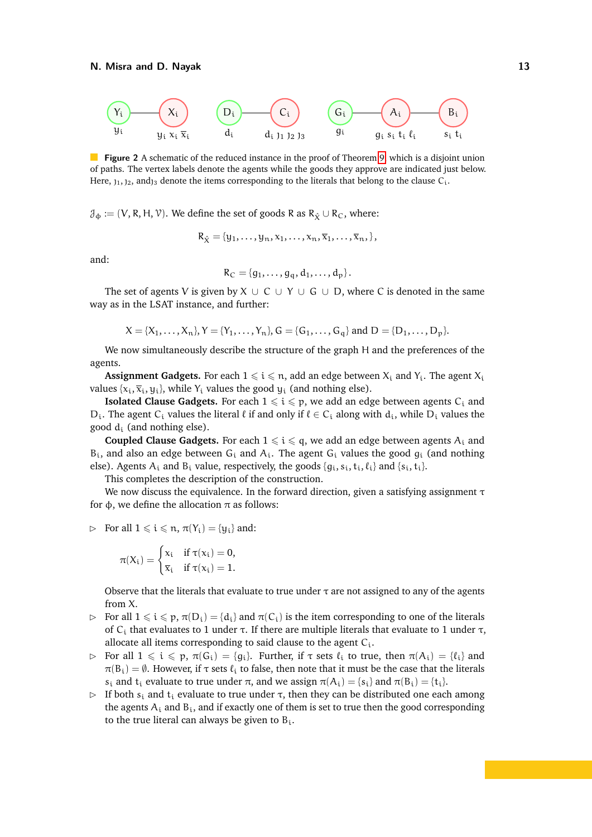

**Figure 2** A schematic of the reduced instance in the proof of Theorem [9,](#page-11-0) which is a disjoint union of paths. The vertex labels denote the agents while the goods they approve are indicated just below. Here,  $11, 12$ , and  $13$  denote the items corresponding to the literals that belong to the clause  $C_i$ .

 $\mathcal{J}_{\Phi} := (V, R, H, V)$ . We define the set of goods R as  $R_{\hat{Y}} \cup R_C$ , where:

$$
R_{\hat{X}} = \{y_1, \ldots, y_n, x_1, \ldots, x_n, \overline{x}_1, \ldots, \overline{x}_n, \},
$$

and:

$$
R_C = \{g_1, \ldots, g_q, d_1, \ldots, d_p\}.
$$

The set of agents V is given by X ∪ C ∪ Y ∪ G ∪ D, where C is denoted in the same way as in the LSAT instance, and further:

$$
X = \{X_1, \ldots, X_n\}, Y = \{Y_1, \ldots, Y_n\}, G = \{G_1, \ldots, G_q\} \text{ and } D = \{D_1, \ldots, D_p\}.
$$

We now simultaneously describe the structure of the graph H and the preferences of the agents.

**Assignment Gadgets.** For each  $1 \le i \le n$ , add an edge between  $X_i$  and  $Y_i$ . The agent  $X_i$ values  $\{x_i, \overline{x}_i, y_i\}$ , while  $Y_i$  values the good  $y_i$  (and nothing else).

**Isolated Clause Gadgets.** For each  $1 \leq i \leq p$ , we add an edge between agents  $C_i$  and D<sub>i</sub>. The agent C<sub>i</sub> values the literal  $\ell$  if and only if  $\ell \in C_i$  along with  $d_i$ , while D<sub>i</sub> values the good  $d_i$  (and nothing else).

**Coupled Clause Gadgets.** For each  $1 \leq i \leq q$ , we add an edge between agents  $A_i$  and  $B_i$ , and also an edge between  $G_i$  and  $A_i$ . The agent  $G_i$  values the good  $g_i$  (and nothing else). Agents  $A_i$  and  $B_i$  value, respectively, the goods  ${g_i, s_i, t_i, \ell_i}$  and  ${s_i, t_i}$ .

This completes the description of the construction.

We now discuss the equivalence. In the forward direction, given a satisfying assignment  $\tau$ for φ, we define the allocation π as follows:

$$
\triangleright \quad \text{For all } 1 \leqslant i \leqslant n, \, \pi(Y_i) = \{y_i\} \text{ and:}
$$

$$
\pi(X_i) = \begin{cases} x_i & \text{if } \tau(x_i) = 0,\\ \overline{x}_i & \text{if } \tau(x_i) = 1. \end{cases}
$$

Observe that the literals that evaluate to true under  $\tau$  are not assigned to any of the agents from X.

- $\triangleright$  For all  $1 \le i \le p$ ,  $\pi(D_i) = \{d_i\}$  and  $\pi(C_i)$  is the item corresponding to one of the literals of C<sub>i</sub> that evaluates to 1 under  $\tau$ . If there are multiple literals that evaluate to 1 under  $\tau$ , allocate all items corresponding to said clause to the agent  $C_i$ .
- $\triangleright$  For all  $1 \leq i \leq p$ ,  $\pi(G_i) = \{g_i\}$ . Further, if  $\tau$  sets  $\ell_i$  to true, then  $\pi(A_i) = \{\ell_i\}$  and  $\pi(B_i) = \emptyset$ . However, if  $\tau$  sets  $\ell_i$  to false, then note that it must be the case that the literals s<sub>i</sub> and t<sub>i</sub> evaluate to true under  $\pi$ , and we assign  $\pi(A_i) = \{s_i\}$  and  $\pi(B_i) = \{t_i\}$ .
- $\triangleright$  If both s<sub>i</sub> and t<sub>i</sub> evaluate to true under  $\tau$ , then they can be distributed one each among the agents  $A_i$  and  $B_i$ , and if exactly one of them is set to true then the good corresponding to the true literal can always be given to  $B_i$ .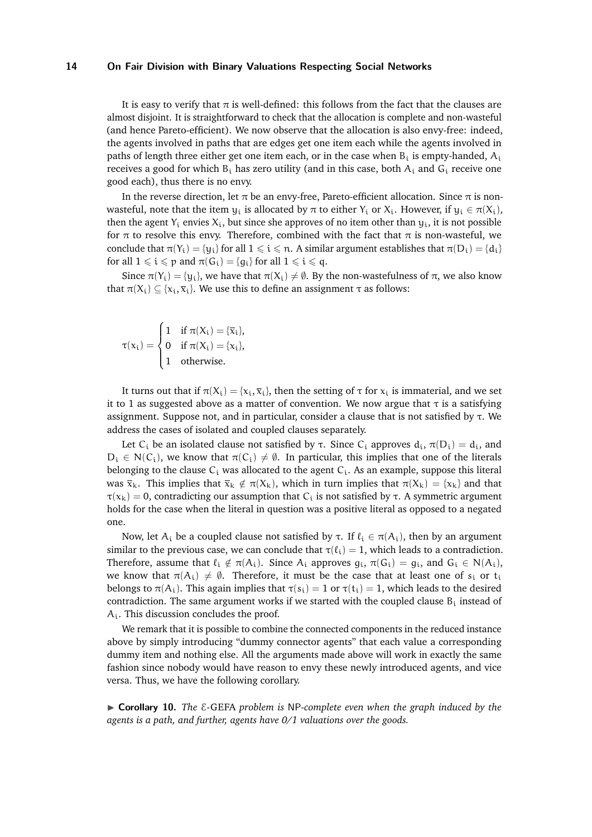It is easy to verify that  $\pi$  is well-defined: this follows from the fact that the clauses are almost disjoint. It is straightforward to check that the allocation is complete and non-wasteful (and hence Pareto-efficient). We now observe that the allocation is also envy-free: indeed, the agents involved in paths that are edges get one item each while the agents involved in paths of length three either get one item each, or in the case when  $B_i$  is empty-handed,  $A_i$ receives a good for which  $B_i$  has zero utility (and in this case, both  $A_i$  and  $G_i$  receive one good each), thus there is no envy.

In the reverse direction, let  $\pi$  be an envy-free, Pareto-efficient allocation. Since  $\pi$  is nonwasteful, note that the item  $y_i$  is allocated by  $\pi$  to either  $Y_i$  or  $X_i$ . However, if  $y_i \in \pi(X_i)$ , then the agent  $Y_i$  envies  $X_i$ , but since she approves of no item other than  $y_i$ , it is not possible for  $\pi$  to resolve this envy. Therefore, combined with the fact that  $\pi$  is non-wasteful, we conclude that  $\pi(Y_i) = \{y_i\}$  for all  $1 \leq i \leq n$ . A similar argument establishes that  $\pi(D_i) = \{d_i\}$ for all  $1 \le i \le p$  and  $\pi(G_i) = \{q_i\}$  for all  $1 \le i \le q$ .

Since  $\pi(Y_i) = \{y_i\}$ , we have that  $\pi(X_i) \neq \emptyset$ . By the non-wastefulness of  $\pi$ , we also know that  $\pi(X_i) \subseteq \{x_i, \overline{x}_i\}$ . We use this to define an assignment  $\tau$  as follows:

$$
\tau(x_i) = \begin{cases} 1 & \text{if } \pi(X_i) = \{\overline{x}_i\}, \\ 0 & \text{if } \pi(X_i) = \{x_i\}, \\ 1 & \text{otherwise.} \end{cases}
$$

It turns out that if  $\pi(X_i) = \{x_i, \overline{x}_i\}$ , then the setting of  $\tau$  for  $x_i$  is immaterial, and we set it to 1 as suggested above as a matter of convention. We now argue that  $\tau$  is a satisfying assignment. Suppose not, and in particular, consider a clause that is not satisfied by  $\tau$ . We address the cases of isolated and coupled clauses separately.

Let C<sub>i</sub> be an isolated clause not satisfied by  $\tau$ . Since C<sub>i</sub> approves  $d_i$ ,  $\pi(D_i) = d_i$ , and  $D_i \in N(C_i)$ , we know that  $\pi(C_i) \neq \emptyset$ . In particular, this implies that one of the literals belonging to the clause  $C_i$  was allocated to the agent  $C_i$ . As an example, suppose this literal was  $\bar{x}_k$ . This implies that  $\bar{x}_k \notin \pi(X_k)$ , which in turn implies that  $\pi(X_k) = \{x_k\}$  and that  $\tau(x_k) = 0$ , contradicting our assumption that C<sub>i</sub> is not satisfied by  $\tau$ . A symmetric argument holds for the case when the literal in question was a positive literal as opposed to a negated one.

Now, let A<sub>i</sub> be a coupled clause not satisfied by τ. If  $\ell_i \in \pi(A_i)$ , then by an argument similar to the previous case, we can conclude that  $\tau(\ell_i) = 1$ , which leads to a contradiction. Therefore, assume that  $\ell_i \notin \pi(A_i)$ . Since  $A_i$  approves  $q_i$ ,  $\pi(G_i) = q_i$ , and  $G_i \in N(A_i)$ , we know that  $\pi(A_i) \neq \emptyset$ . Therefore, it must be the case that at least one of s<sub>i</sub> or t<sub>i</sub> belongs to  $\pi(A_i)$ . This again implies that  $\tau(s_i) = 1$  or  $\tau(t_i) = 1$ , which leads to the desired contradiction. The same argument works if we started with the coupled clause  $B_i$  instead of Ai. This discussion concludes the proof.

We remark that it is possible to combine the connected components in the reduced instance above by simply introducing "dummy connector agents" that each value a corresponding dummy item and nothing else. All the arguments made above will work in exactly the same fashion since nobody would have reason to envy these newly introduced agents, and vice versa. Thus, we have the following corollary.

<span id="page-13-0"></span>► **Corollary 10.** *The E*-GEFA *problem is* NP-*complete even when the graph induced by the agents is a path, and further, agents have 0/1 valuations over the goods.*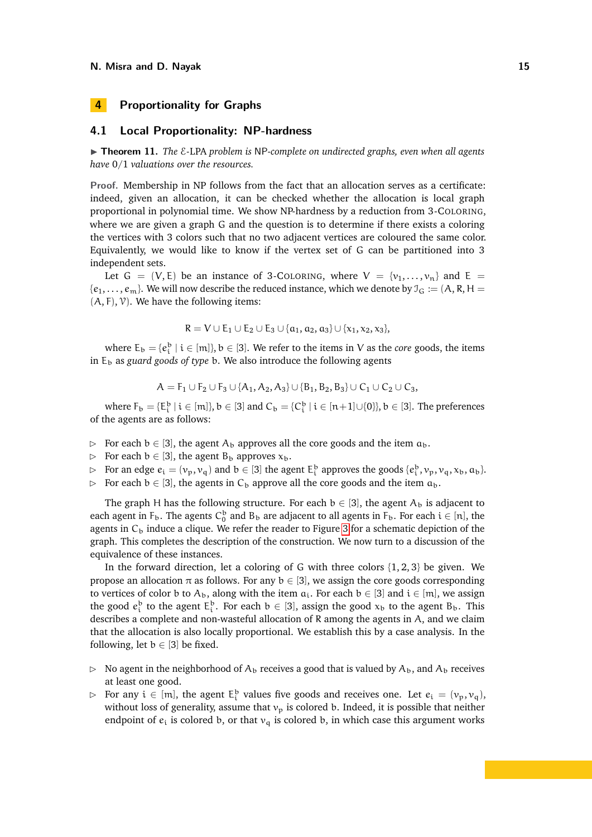# **4 Proportionality for Graphs**

# **4.1 Local Proportionality: NP-hardness**

<span id="page-14-0"></span>► **Theorem 11.** *The E*-LPA *problem is* NP-*complete on undirected graphs, even when all agents have* 0/1 *valuations over the resources.*

**Proof.** Membership in NP follows from the fact that an allocation serves as a certificate: indeed, given an allocation, it can be checked whether the allocation is local graph proportional in polynomial time. We show NP-hardness by a reduction from 3-COLORING, where we are given a graph G and the question is to determine if there exists a coloring the vertices with 3 colors such that no two adjacent vertices are coloured the same color. Equivalently, we would like to know if the vertex set of G can be partitioned into 3 independent sets.

Let G = (V, E) be an instance of 3-COLORING, where  $V = \{v_1, \ldots, v_n\}$  and E =  ${e_1, \ldots, e_m}$ . We will now describe the reduced instance, which we denote by  $\mathcal{I}_G := (A, R, H =$  $(A, F), \mathcal{V}$ ). We have the following items:

 $R = V \cup E_1 \cup E_2 \cup E_3 \cup \{a_1, a_2, a_3\} \cup \{x_1, x_2, x_3\},$ 

where  $E_b = \{e_i^b \mid i \in [m]\}$ ,  $b \in [3]$ . We refer to the items in V as the *core* goods, the items in E<sub>b</sub> as *guard goods of type* b. We also introduce the following agents

$$
A = F_1 \cup F_2 \cup F_3 \cup \{A_1, A_2, A_3\} \cup \{B_1, B_2, B_3\} \cup C_1 \cup C_2 \cup C_3,
$$

where  $F_b = {E_i^b \mid i \in [m]}$ ,  $b \in [3]$  and  $C_b = {C_i^b \mid i \in [n+1] \cup \{0\}}$ ,  $b \in [3]$ . The preferences of the agents are as follows:

- $\triangleright$  For each b ∈ [3], the agent A<sub>b</sub> approves all the core goods and the item α<sub>b</sub>.
- $\triangleright$  For each  $b \in [3]$ , the agent B<sub>b</sub> approves  $x_b$ .
- $\triangleright$  For an edge  $e_i = (v_p, v_q)$  and  $b \in [3]$  the agent  $E_i^b$  approves the goods  $\{e_i^b, v_p, v_q, x_b, a_b\}$ .
- $\triangleright$  For each b ∈ [3], the agents in C<sub>b</sub> approve all the core goods and the item  $a_b$ .

The graph H has the following structure. For each  $b \in [3]$ , the agent  $A_b$  is adjacent to each agent in  $F_b$ . The agents  $C_0^b$  and  $B_b$  are adjacent to all agents in  $F_b$ . For each  $i \in [n]$ , the agents in  $C_b$  induce a clique. We refer the reader to Figure [3](#page-16-1) for a schematic depiction of the graph. This completes the description of the construction. We now turn to a discussion of the equivalence of these instances.

In the forward direction, let a coloring of G with three colors  $\{1, 2, 3\}$  be given. We propose an allocation  $\pi$  as follows. For any  $b \in [3]$ , we assign the core goods corresponding to vertices of color b to  $A_b$ , along with the item  $a_i$ . For each  $b \in [3]$  and  $i \in [m]$ , we assign the good  $e_i^b$  to the agent  $E_i^b$ . For each  $b \in [3]$ , assign the good  $x_b$  to the agent  $B_b$ . This describes a complete and non-wasteful allocation of R among the agents in A, and we claim that the allocation is also locally proportional. We establish this by a case analysis. In the following, let  $b \in [3]$  be fixed.

- $\triangleright$  No agent in the neighborhood of  $A_b$  receives a good that is valued by  $A_b$ , and  $A_b$  receives at least one good.
- $\triangleright$  For any i ∈ [m], the agent  $E_i^b$  values five goods and receives one. Let  $e_i = (v_p, v_q)$ , without loss of generality, assume that  $v_p$  is colored b. Indeed, it is possible that neither endpoint of  $e_i$  is colored b, or that  $v_q$  is colored b, in which case this argument works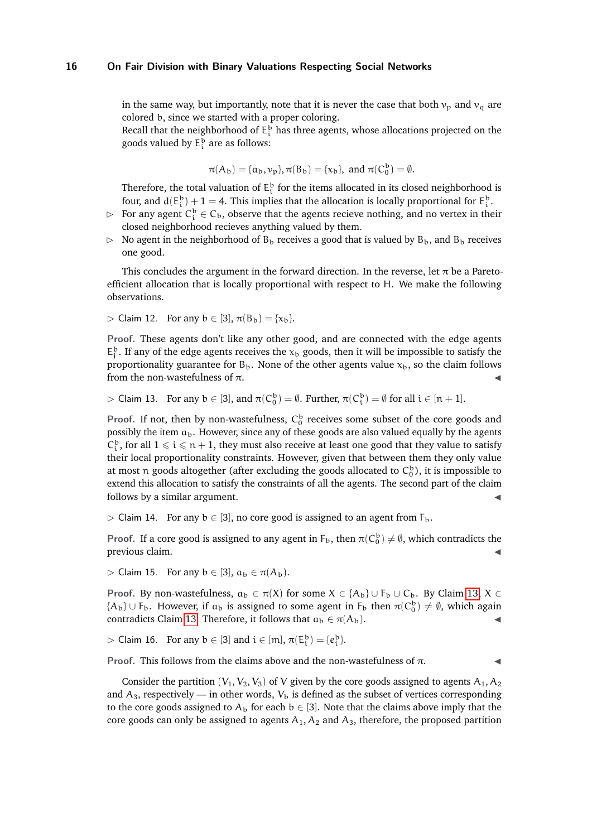in the same way, but importantly, note that it is never the case that both  $v_p$  and  $v_q$  are colored b, since we started with a proper coloring.

Recall that the neighborhood of  $E_i^b$  has three agents, whose allocations projected on the goods valued by  $E_i^b$  are as follows:

$$
\pi(A_{b}) = \{a_{b}, \nu_{p}\}, \pi(B_{b}) = \{x_{b}\}, \text{ and } \pi(C_{0}^{b}) = \emptyset.
$$

Therefore, the total valuation of  $E_i^b$  for the items allocated in its closed neighborhood is four, and  $d(E_i^b) + 1 = 4$ . This implies that the allocation is locally proportional for  $E_i^b$ .

- $\triangleright$  For any agent  $C_i^b \in C_b$ , observe that the agents recieve nothing, and no vertex in their closed neighborhood recieves anything valued by them.
- $\triangleright$  No agent in the neighborhood of B<sub>b</sub> receives a good that is valued by B<sub>b</sub>, and B<sub>b</sub> receives one good.

This concludes the argument in the forward direction. In the reverse, let  $\pi$  be a Paretoefficient allocation that is locally proportional with respect to H. We make the following observations.

 $\triangleright$  Claim 12. For any  $b \in [3], \pi(B_b) = \{x_b\}.$ 

**Proof.** These agents don't like any other good, and are connected with the edge agents  $E_j^b$ . If any of the edge agents receives the  $x_b$  goods, then it will be impossible to satisfy the proportionality guarantee for  $B_b$ . None of the other agents value  $x_b$ , so the claim follows from the non-wastefulness of  $\pi$ .

<span id="page-15-0"></span>
$$
\vartriangleright \text{ Claim 13.} \quad \text{For any } b \in [3], \text{ and } \pi(C_0^b) = \emptyset. \text{ Further, } \pi(C_i^b) = \emptyset \text{ for all } i \in [n+1].
$$

**Proof.** If not, then by non-wastefulness,  $C_0^b$  receives some subset of the core goods and possibly the item  $a<sub>b</sub>$ . However, since any of these goods are also valued equally by the agents  $C_i^b$ , for all  $1 \leq i \leq n + 1$ , they must also receive at least one good that they value to satisfy their local proportionality constraints. However, given that between them they only value at most n goods altogether (after excluding the goods allocated to  $C_0^b$ ), it is impossible to extend this allocation to satisfy the constraints of all the agents. The second part of the claim follows by a similar argument.

 $\triangleright$  Claim 14. For any  $b \in [3]$ , no core good is assigned to an agent from  $F_b$ .

**Proof.** If a core good is assigned to any agent in  $F_b$ , then  $\pi(C_0^b) \neq \emptyset$ , which contradicts the previous claim.

 $\triangleright$  Claim 15. For any  $b \in [3]$ ,  $a_b \in \pi(A_b)$ .

**Proof.** By non-wastefulness,  $a_b \in \pi(X)$  for some  $X \in \{A_b\} \cup F_b \cup C_b$ . By Claim [13,](#page-15-0)  $X \in$  ${A_b}$   $\cup$  F<sub>b</sub>. However, if  $a_b$  is assigned to some agent in F<sub>b</sub> then  $\pi(C_0^b) \neq \emptyset$ , which again contradicts Claim [13.](#page-15-0) Therefore, it follows that  $a_b \in \pi(A_b)$ .

 $\triangleright$  Claim 16. For any  $b \in [3]$  and  $i \in [m], \pi(E_i^b) = \{e_i^b\}.$ 

**Proof.** This follows from the claims above and the non-wastefulness of  $π$ .

Consider the partition  $(V_1, V_2, V_3)$  of V given by the core goods assigned to agents  $A_1, A_2$ and  $A_3$ , respectively — in other words,  $V_b$  is defined as the subset of vertices corresponding to the core goods assigned to  $A_b$  for each  $b \in [3]$ . Note that the claims above imply that the core goods can only be assigned to agents  $A_1$ ,  $A_2$  and  $A_3$ , therefore, the proposed partition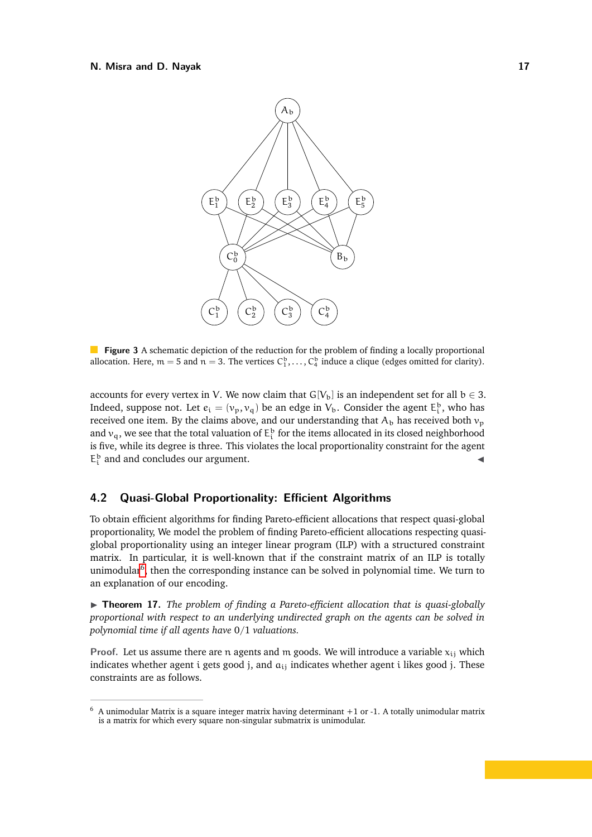<span id="page-16-1"></span>

**Figure 3** A schematic depiction of the reduction for the problem of finding a locally proportional allocation. Here,  $m = 5$  and  $n = 3$ . The vertices  $C_1^b, \ldots, C_4^b$  induce a clique (edges omitted for clarity).

accounts for every vertex in V. We now claim that  $G[V_b]$  is an independent set for all  $b \in 3$ . Indeed, suppose not. Let  $e_i = (v_p, v_q)$  be an edge in  $V_b$ . Consider the agent  $E_i^b$ , who has received one item. By the claims above, and our understanding that  $A_b$  has received both  $v_p$ and  $v_q$ , we see that the total valuation of  $E_i^b$  for the items allocated in its closed neighborhood is five, while its degree is three. This violates the local proportionality constraint for the agent  $E_i^b$  and and concludes our argument.

# **4.2 Quasi-Global Proportionality: Efficient Algorithms**

To obtain efficient algorithms for finding Pareto-efficient allocations that respect quasi-global proportionality, We model the problem of finding Pareto-efficient allocations respecting quasiglobal proportionality using an integer linear program (ILP) with a structured constraint matrix. In particular, it is well-known that if the constraint matrix of an ILP is totally unimodular<sup>[6](#page-16-2)</sup>, then the corresponding instance can be solved in polynomial time. We turn to an explanation of our encoding.

<span id="page-16-0"></span>▶ **Theorem 17.** *The problem of finding a Pareto-efficient allocation that is quasi-globally proportional with respect to an underlying undirected graph on the agents can be solved in polynomial time if all agents have* 0/1 *valuations.*

**Proof.** Let us assume there are n agents and m goods. We will introduce a variable  $x_{ij}$  which indicates whether agent i gets good j, and  $a_{ij}$  indicates whether agent i likes good j. These constraints are as follows.

<span id="page-16-2"></span> $6$  A unimodular Matrix is a square integer matrix having determinant  $+1$  or  $-1$ . A totally unimodular matrix is a matrix for which every square non-singular submatrix is unimodular.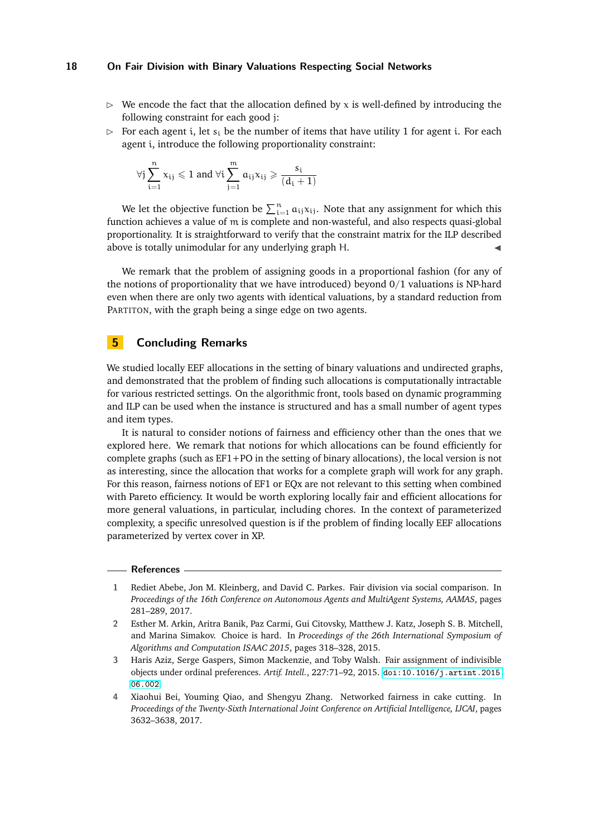- $\triangleright$  We encode the fact that the allocation defined by x is well-defined by introducing the following constraint for each good j:
- $\triangleright$  For each agent i, let s<sub>i</sub> be the number of items that have utility 1 for agent i. For each agent i, introduce the following proportionality constraint:

$$
\forall j \sum_{i=1}^n x_{ij} \leqslant 1 \text{ and } \forall i \sum_{j=1}^m a_{ij} x_{ij} \geqslant \frac{s_i}{(d_i+1)}
$$

We let the objective function be  $\sum_{i=1}^{n} \alpha_{ij} x_{ij}$ . Note that any assignment for which this function achieves a value of m is complete and non-wasteful, and also respects quasi-global proportionality. It is straightforward to verify that the constraint matrix for the ILP described above is totally unimodular for any underlying graph H.

We remark that the problem of assigning goods in a proportional fashion (for any of the notions of proportionality that we have introduced) beyond 0/1 valuations is NP-hard even when there are only two agents with identical valuations, by a standard reduction from PARTITON, with the graph being a singe edge on two agents.

# **5 Concluding Remarks**

We studied locally EEF allocations in the setting of binary valuations and undirected graphs, and demonstrated that the problem of finding such allocations is computationally intractable for various restricted settings. On the algorithmic front, tools based on dynamic programming and ILP can be used when the instance is structured and has a small number of agent types and item types.

It is natural to consider notions of fairness and efficiency other than the ones that we explored here. We remark that notions for which allocations can be found efficiently for complete graphs (such as EF1+PO in the setting of binary allocations), the local version is not as interesting, since the allocation that works for a complete graph will work for any graph. For this reason, fairness notions of EF1 or EQx are not relevant to this setting when combined with Pareto efficiency. It would be worth exploring locally fair and efficient allocations for more general valuations, in particular, including chores. In the context of parameterized complexity, a specific unresolved question is if the problem of finding locally EEF allocations parameterized by vertex cover in XP.

### **References**

- <span id="page-17-0"></span>**1** Rediet Abebe, Jon M. Kleinberg, and David C. Parkes. Fair division via social comparison. In *Proceedings of the 16th Conference on Autonomous Agents and MultiAgent Systems, AAMAS*, pages 281–289, 2017.
- <span id="page-17-3"></span>**2** Esther M. Arkin, Aritra Banik, Paz Carmi, Gui Citovsky, Matthew J. Katz, Joseph S. B. Mitchell, and Marina Simakov. Choice is hard. In *Proceedings of the 26th International Symposium of Algorithms and Computation ISAAC 2015*, pages 318–328, 2015.
- <span id="page-17-2"></span>**3** Haris Aziz, Serge Gaspers, Simon Mackenzie, and Toby Walsh. Fair assignment of indivisible objects under ordinal preferences. *Artif. Intell.*, 227:71–92, 2015. [doi:10.1016/j.artint.2015.](https://doi.org/10.1016/j.artint.2015.06.002) [06.002](https://doi.org/10.1016/j.artint.2015.06.002).
- <span id="page-17-1"></span>**4** Xiaohui Bei, Youming Qiao, and Shengyu Zhang. Networked fairness in cake cutting. In *Proceedings of the Twenty-Sixth International Joint Conference on Artificial Intelligence, IJCAI*, pages 3632–3638, 2017.